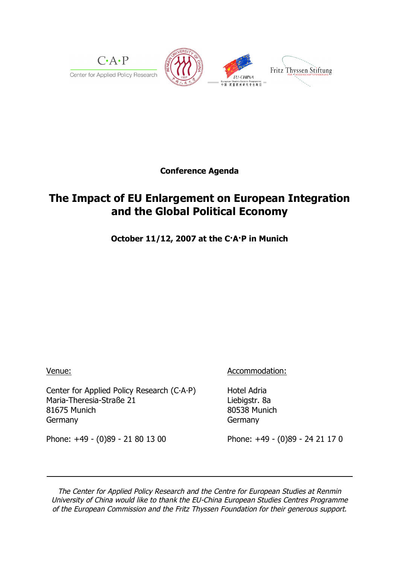$C \cdot A \cdot P$ Center for Applied Policy Research



**Conference Agenda**

## **The Impact of EU Enlargement on European Integration and the Global Political Economy**

**October 11/12, 2007 at the C·A·P in Munich**

Venue:

Center for Applied Policy Research (C·A·P) Maria-Theresia-Straße 21 81675 Munich Germany

Accommodation:

Hotel Adria Liebigstr. 8a 80538 Munich **Germany** 

Phone: +49 - (0)89 - 21 80 13 00

Phone: +49 - (0)89 - 24 21 17 0

The Center for Applied Policy Research and the Centre for European Studies at Renmin University of China would like to thank the EU-China European Studies Centres Programme of the European Commission and the Fritz Thyssen Foundation for their generous support.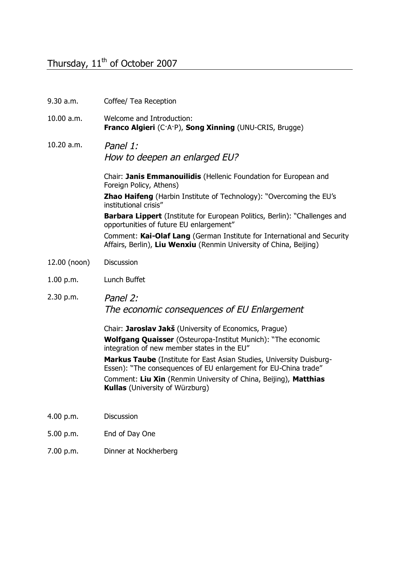## Thursday, 11<sup>th</sup> of October 2007

| 9.30 a.m.    | Coffee/ Tea Reception                                                                                                                                                                                                                                                                                                                                                                                                                 |
|--------------|---------------------------------------------------------------------------------------------------------------------------------------------------------------------------------------------------------------------------------------------------------------------------------------------------------------------------------------------------------------------------------------------------------------------------------------|
| 10.00 a.m.   | Welcome and Introduction:<br>Franco Algieri (C·A·P), Song Xinning (UNU-CRIS, Brugge)                                                                                                                                                                                                                                                                                                                                                  |
| 10.20 a.m.   | Panel 1:<br>How to deepen an enlarged EU?                                                                                                                                                                                                                                                                                                                                                                                             |
|              | Chair: Janis Emmanouilidis (Hellenic Foundation for European and<br>Foreign Policy, Athens)                                                                                                                                                                                                                                                                                                                                           |
|              | Zhao Haifeng (Harbin Institute of Technology): "Overcoming the EU's<br>institutional crisis"                                                                                                                                                                                                                                                                                                                                          |
|              | <b>Barbara Lippert</b> (Institute for European Politics, Berlin): "Challenges and<br>opportunities of future EU enlargement"                                                                                                                                                                                                                                                                                                          |
|              | Comment: Kai-Olaf Lang (German Institute for International and Security<br>Affairs, Berlin), Liu Wenxiu (Renmin University of China, Beijing)                                                                                                                                                                                                                                                                                         |
| 12.00 (noon) | <b>Discussion</b>                                                                                                                                                                                                                                                                                                                                                                                                                     |
| 1.00 p.m.    | Lunch Buffet                                                                                                                                                                                                                                                                                                                                                                                                                          |
| 2.30 p.m.    | Panel 2:<br>The economic consequences of EU Enlargement                                                                                                                                                                                                                                                                                                                                                                               |
|              | Chair: Jaroslav Jakš (University of Economics, Prague)<br><b>Wolfgang Quaisser</b> (Osteuropa-Institut Munich): "The economic<br>integration of new member states in the EU"<br>Markus Taube (Institute for East Asian Studies, University Duisburg-<br>Essen): "The consequences of EU enlargement for EU-China trade"<br>Comment: Liu Xin (Renmin University of China, Beijing), Matthias<br><b>Kullas</b> (University of Würzburg) |
| 4.00 p.m.    | <b>Discussion</b>                                                                                                                                                                                                                                                                                                                                                                                                                     |

- 5.00 p.m. End of Day One
- 7.00 p.m. Dinner at Nockherberg